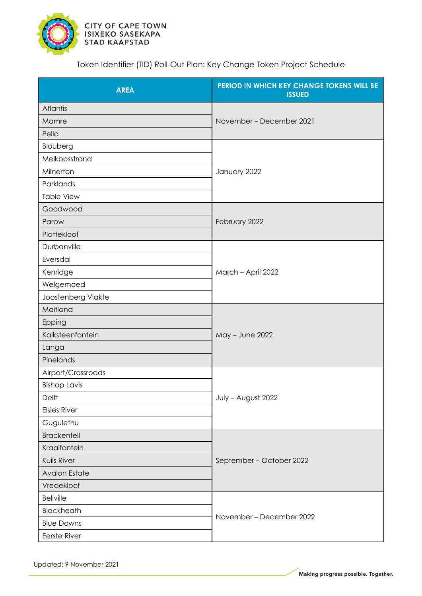

Token Identifier (TID) Roll-Out Plan: Key Change Token Project Schedule

| <b>AREA</b>          | PERIOD IN WHICH KEY CHANGE TOKENS WILL BE<br><b>ISSUED</b> |
|----------------------|------------------------------------------------------------|
| Atlantis             | November – December 2021                                   |
| Mamre                |                                                            |
| Pella                |                                                            |
| Blouberg             | January 2022                                               |
| Melkbosstrand        |                                                            |
| Milnerton            |                                                            |
| Parklands            |                                                            |
| <b>Table View</b>    |                                                            |
| Goodwood             |                                                            |
| Parow                | February 2022                                              |
| Plattekloof          |                                                            |
| Durbanville          |                                                            |
| Eversdal             | March - April 2022                                         |
| Kenridge             |                                                            |
| Welgemoed            |                                                            |
| Joostenberg Vlakte   |                                                            |
| Maitland             | May - June 2022                                            |
| Epping               |                                                            |
| Kalksteenfontein     |                                                            |
| Langa                |                                                            |
| Pinelands            |                                                            |
| Airport/Crossroads   | July - August 2022                                         |
| <b>Bishop Lavis</b>  |                                                            |
| Delft                |                                                            |
| <b>Elsies River</b>  |                                                            |
| Gugulethu            |                                                            |
| <b>Brackenfell</b>   | September - October 2022                                   |
| Kraaifontein         |                                                            |
| Kuils River          |                                                            |
| <b>Avalon Estate</b> |                                                            |
| Vredekloof           |                                                            |
| <b>Bellville</b>     |                                                            |
| Blackheath           | November – December 2022                                   |
| <b>Blue Downs</b>    |                                                            |
| Eerste River         |                                                            |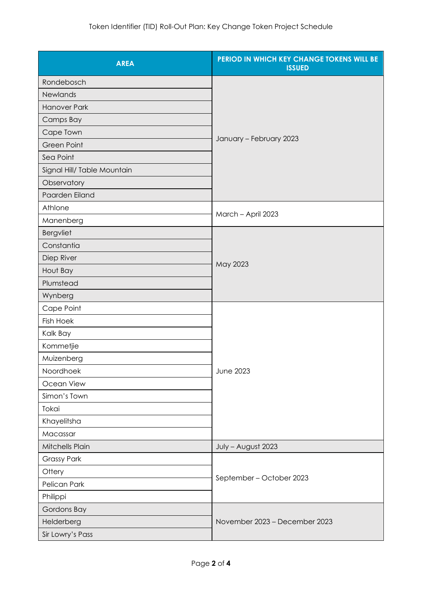| <b>AREA</b>                 | PERIOD IN WHICH KEY CHANGE TOKENS WILL BE<br><b>ISSUED</b> |
|-----------------------------|------------------------------------------------------------|
| Rondebosch                  |                                                            |
| Newlands                    |                                                            |
| <b>Hanover Park</b>         |                                                            |
| Camps Bay                   | January - February 2023                                    |
| Cape Town                   |                                                            |
| <b>Green Point</b>          |                                                            |
| Sea Point                   |                                                            |
| Signal Hill/ Table Mountain |                                                            |
| Observatory                 |                                                            |
| Paarden Eiland              |                                                            |
| Athlone                     |                                                            |
| Manenberg                   | March - April 2023                                         |
| Bergvliet                   | May 2023                                                   |
| Constantia                  |                                                            |
| Diep River                  |                                                            |
| Hout Bay                    |                                                            |
| Plumstead                   |                                                            |
| Wynberg                     |                                                            |
| Cape Point                  | <b>June 2023</b>                                           |
| <b>Fish Hoek</b>            |                                                            |
| Kalk Bay                    |                                                            |
| Kommetjie                   |                                                            |
| Muizenberg                  |                                                            |
| Noordhoek                   |                                                            |
| Ocean View                  |                                                            |
| Simon's Town                |                                                            |
| Tokai                       |                                                            |
| Khayelitsha                 |                                                            |
| Macassar                    |                                                            |
| Mitchells Plain             | July - August 2023                                         |
| <b>Grassy Park</b>          | September – October 2023                                   |
| Ottery                      |                                                            |
| Pelican Park                |                                                            |
| Philippi                    |                                                            |
| Gordons Bay                 | November 2023 - December 2023                              |
| Helderberg                  |                                                            |
| Sir Lowry's Pass            |                                                            |